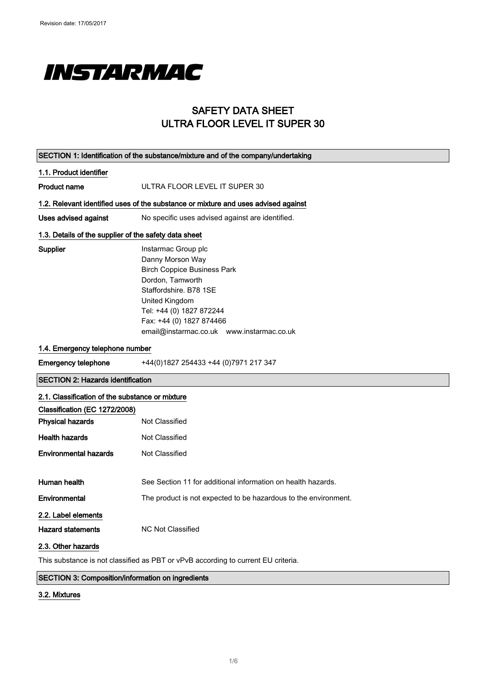

### SAFETY DATA SHEET ULTRA FLOOR LEVEL IT SUPER 30

| SECTION 1: Identification of the substance/mixture and of the company/undertaking |                                                                                    |  |
|-----------------------------------------------------------------------------------|------------------------------------------------------------------------------------|--|
| 1.1. Product identifier                                                           |                                                                                    |  |
| <b>Product name</b>                                                               | ULTRA FLOOR LEVEL IT SUPER 30                                                      |  |
|                                                                                   | 1.2. Relevant identified uses of the substance or mixture and uses advised against |  |
| <b>Uses advised against</b>                                                       | No specific uses advised against are identified.                                   |  |
| 1.3. Details of the supplier of the safety data sheet                             |                                                                                    |  |
| Supplier                                                                          | Instarmac Group plc                                                                |  |
|                                                                                   | Danny Morson Way                                                                   |  |
|                                                                                   | <b>Birch Coppice Business Park</b>                                                 |  |
|                                                                                   | Dordon, Tamworth                                                                   |  |
|                                                                                   | Staffordshire, B78 1SE                                                             |  |
|                                                                                   | United Kingdom                                                                     |  |
|                                                                                   | Tel: +44 (0) 1827 872244                                                           |  |
|                                                                                   | Fax: +44 (0) 1827 874466                                                           |  |
|                                                                                   | email@instarmac.co.uk www.instarmac.co.uk                                          |  |
| 1.4. Emergency telephone number                                                   |                                                                                    |  |
| <b>Emergency telephone</b>                                                        | +44(0)1827 254433 +44 (0)7971 217 347                                              |  |
| <b>SECTION 2: Hazards identification</b>                                          |                                                                                    |  |
| 2.1. Classification of the substance or mixture                                   |                                                                                    |  |
| Classification (EC 1272/2008)                                                     |                                                                                    |  |
| <b>Physical hazards</b>                                                           | <b>Not Classified</b>                                                              |  |
| <b>Health hazards</b>                                                             | Not Classified                                                                     |  |
| <b>Environmental hazards</b>                                                      | Not Classified                                                                     |  |
|                                                                                   |                                                                                    |  |
| Human health                                                                      | See Section 11 for additional information on health hazards.                       |  |
| Environmental                                                                     | The product is not expected to be hazardous to the environment.                    |  |
| 2.2. Label elements                                                               |                                                                                    |  |
| <b>Hazard statements</b>                                                          | <b>NC Not Classified</b>                                                           |  |
| 2.3. Other hazards                                                                |                                                                                    |  |
|                                                                                   |                                                                                    |  |

This substance is not classified as PBT or vPvB according to current EU criteria.

#### SECTION 3: Composition/information on ingredients

#### 3.2. Mixtures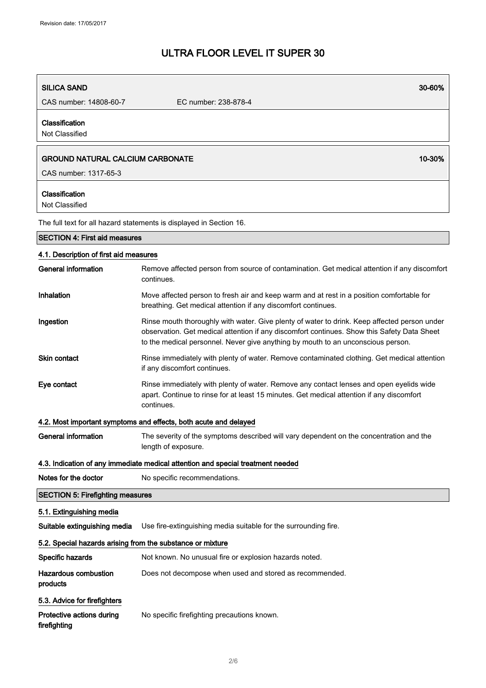| <b>SILICA SAND</b>                                                        | 30-60%                                                                                                                                                                                                                                                                          |
|---------------------------------------------------------------------------|---------------------------------------------------------------------------------------------------------------------------------------------------------------------------------------------------------------------------------------------------------------------------------|
| CAS number: 14808-60-7                                                    | EC number: 238-878-4                                                                                                                                                                                                                                                            |
| Classification<br>Not Classified                                          |                                                                                                                                                                                                                                                                                 |
| <b>GROUND NATURAL CALCIUM CARBONATE</b>                                   | 10-30%                                                                                                                                                                                                                                                                          |
| CAS number: 1317-65-3                                                     |                                                                                                                                                                                                                                                                                 |
| Classification<br>Not Classified                                          |                                                                                                                                                                                                                                                                                 |
|                                                                           | The full text for all hazard statements is displayed in Section 16.                                                                                                                                                                                                             |
| <b>SECTION 4: First aid measures</b>                                      |                                                                                                                                                                                                                                                                                 |
| 4.1. Description of first aid measures                                    |                                                                                                                                                                                                                                                                                 |
| <b>General information</b>                                                | Remove affected person from source of contamination. Get medical attention if any discomfort<br>continues.                                                                                                                                                                      |
| Inhalation                                                                | Move affected person to fresh air and keep warm and at rest in a position comfortable for<br>breathing. Get medical attention if any discomfort continues.                                                                                                                      |
| Ingestion                                                                 | Rinse mouth thoroughly with water. Give plenty of water to drink. Keep affected person under<br>observation. Get medical attention if any discomfort continues. Show this Safety Data Sheet<br>to the medical personnel. Never give anything by mouth to an unconscious person. |
| <b>Skin contact</b>                                                       | Rinse immediately with plenty of water. Remove contaminated clothing. Get medical attention<br>if any discomfort continues.                                                                                                                                                     |
| Eye contact                                                               | Rinse immediately with plenty of water. Remove any contact lenses and open eyelids wide<br>apart. Continue to rinse for at least 15 minutes. Get medical attention if any discomfort<br>continues.                                                                              |
|                                                                           | 4.2. Most important symptoms and effects, both acute and delayed                                                                                                                                                                                                                |
| <b>General information</b>                                                | The severity of the symptoms described will vary dependent on the concentration and the<br>length of exposure.                                                                                                                                                                  |
|                                                                           | 4.3. Indication of any immediate medical attention and special treatment needed                                                                                                                                                                                                 |
| Notes for the doctor                                                      | No specific recommendations.                                                                                                                                                                                                                                                    |
| <b>SECTION 5: Firefighting measures</b>                                   |                                                                                                                                                                                                                                                                                 |
| 5.1. Extinguishing media                                                  |                                                                                                                                                                                                                                                                                 |
| Suitable extinguishing media                                              | Use fire-extinguishing media suitable for the surrounding fire.                                                                                                                                                                                                                 |
| 5.2. Special hazards arising from the substance or mixture                |                                                                                                                                                                                                                                                                                 |
| Specific hazards                                                          | Not known. No unusual fire or explosion hazards noted.                                                                                                                                                                                                                          |
| <b>Hazardous combustion</b><br>products                                   | Does not decompose when used and stored as recommended.                                                                                                                                                                                                                         |
| 5.3. Advice for firefighters<br>Protective actions during<br>firefighting | No specific firefighting precautions known.                                                                                                                                                                                                                                     |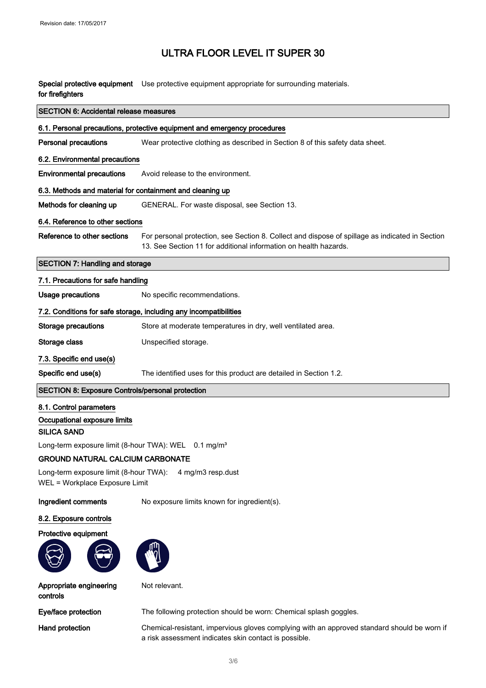Special protective equipment Use protective equipment appropriate for surrounding materials. for firefighters

| <b>SECTION 6: Accidental release measures</b>                            |                                                                                                 |  |
|--------------------------------------------------------------------------|-------------------------------------------------------------------------------------------------|--|
| 6.1. Personal precautions, protective equipment and emergency procedures |                                                                                                 |  |
| <b>Personal precautions</b>                                              | Wear protective clothing as described in Section 8 of this safety data sheet.                   |  |
| 6.2. Environmental precautions                                           |                                                                                                 |  |
| <b>Environmental precautions</b>                                         | Avoid release to the environment.                                                               |  |
| 6.3. Methods and material for containment and cleaning up                |                                                                                                 |  |
| Methods for cleaning up                                                  | GENERAL. For waste disposal, see Section 13.                                                    |  |
| 6.4. Reference to other sections                                         |                                                                                                 |  |
| Reference to other sections                                              | For personal protection, see Section 8. Collect and dispose of spillage as indicated in Section |  |
|                                                                          | 13. See Section 11 for additional information on health hazards.                                |  |
| <b>SECTION 7: Handling and storage</b>                                   |                                                                                                 |  |
| 7.1. Precautions for safe handling                                       |                                                                                                 |  |
| <b>Usage precautions</b>                                                 | No specific recommendations.                                                                    |  |
| 7.2. Conditions for safe storage, including any incompatibilities        |                                                                                                 |  |
| <b>Storage precautions</b>                                               | Store at moderate temperatures in dry, well ventilated area.                                    |  |
| Storage class                                                            | Unspecified storage.                                                                            |  |
| 7.3. Specific end use(s)                                                 |                                                                                                 |  |
| Specific end use(s)                                                      | The identified uses for this product are detailed in Section 1.2.                               |  |
| <b>SECTION 8: Exposure Controls/personal protection</b>                  |                                                                                                 |  |
| 8.1. Control parameters                                                  |                                                                                                 |  |
| Occupational exposure limits                                             |                                                                                                 |  |
| <b>SILICA SAND</b>                                                       |                                                                                                 |  |

Long-term exposure limit (8-hour TWA): WEL 0.1 mg/m<sup>3</sup>

#### GROUND NATURAL CALCIUM CARBONATE

Long-term exposure limit (8-hour TWA): 4 mg/m3 resp.dust WEL = Workplace Exposure Limit

Ingredient comments No exposure limits known for ingredient(s).

#### 8.2. Exposure controls

#### Protective equipment





Not relevant.

Appropriate engineering controls

Eye/face protection The following protection should be worn: Chemical splash goggles.

Hand protection Chemical-resistant, impervious gloves complying with an approved standard should be worn if a risk assessment indicates skin contact is possible.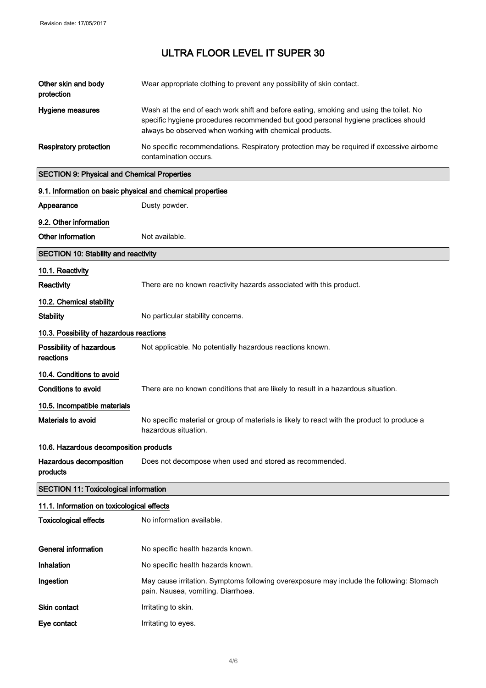| Other skin and body<br>protection                          | Wear appropriate clothing to prevent any possibility of skin contact.                                                                                                                                                                   |
|------------------------------------------------------------|-----------------------------------------------------------------------------------------------------------------------------------------------------------------------------------------------------------------------------------------|
| <b>Hygiene measures</b>                                    | Wash at the end of each work shift and before eating, smoking and using the toilet. No<br>specific hygiene procedures recommended but good personal hygiene practices should<br>always be observed when working with chemical products. |
| <b>Respiratory protection</b>                              | No specific recommendations. Respiratory protection may be required if excessive airborne<br>contamination occurs.                                                                                                                      |
| <b>SECTION 9: Physical and Chemical Properties</b>         |                                                                                                                                                                                                                                         |
| 9.1. Information on basic physical and chemical properties |                                                                                                                                                                                                                                         |
| Appearance                                                 | Dusty powder.                                                                                                                                                                                                                           |
| 9.2. Other information                                     |                                                                                                                                                                                                                                         |
| Other information                                          | Not available.                                                                                                                                                                                                                          |
| <b>SECTION 10: Stability and reactivity</b>                |                                                                                                                                                                                                                                         |
| 10.1. Reactivity                                           |                                                                                                                                                                                                                                         |
| Reactivity                                                 | There are no known reactivity hazards associated with this product.                                                                                                                                                                     |
| 10.2. Chemical stability                                   |                                                                                                                                                                                                                                         |
| <b>Stability</b>                                           | No particular stability concerns.                                                                                                                                                                                                       |
| 10.3. Possibility of hazardous reactions                   |                                                                                                                                                                                                                                         |
| Possibility of hazardous<br>reactions                      | Not applicable. No potentially hazardous reactions known.                                                                                                                                                                               |
| 10.4. Conditions to avoid                                  |                                                                                                                                                                                                                                         |
| <b>Conditions to avoid</b>                                 | There are no known conditions that are likely to result in a hazardous situation.                                                                                                                                                       |
| 10.5. Incompatible materials                               |                                                                                                                                                                                                                                         |
| Materials to avoid                                         | No specific material or group of materials is likely to react with the product to produce a<br>hazardous situation.                                                                                                                     |
| 10.6. Hazardous decomposition products                     |                                                                                                                                                                                                                                         |
| Hazardous decomposition<br>products                        | Does not decompose when used and stored as recommended.                                                                                                                                                                                 |
| <b>SECTION 11: Toxicological information</b>               |                                                                                                                                                                                                                                         |
| 11.1. Information on toxicological effects                 |                                                                                                                                                                                                                                         |
| <b>Toxicological effects</b>                               | No information available.                                                                                                                                                                                                               |
| <b>General information</b>                                 | No specific health hazards known.                                                                                                                                                                                                       |
| Inhalation                                                 | No specific health hazards known.                                                                                                                                                                                                       |
| Ingestion                                                  | May cause irritation. Symptoms following overexposure may include the following: Stomach<br>pain. Nausea, vomiting. Diarrhoea.                                                                                                          |
| <b>Skin contact</b>                                        | Irritating to skin.                                                                                                                                                                                                                     |
| Eye contact                                                | Irritating to eyes.                                                                                                                                                                                                                     |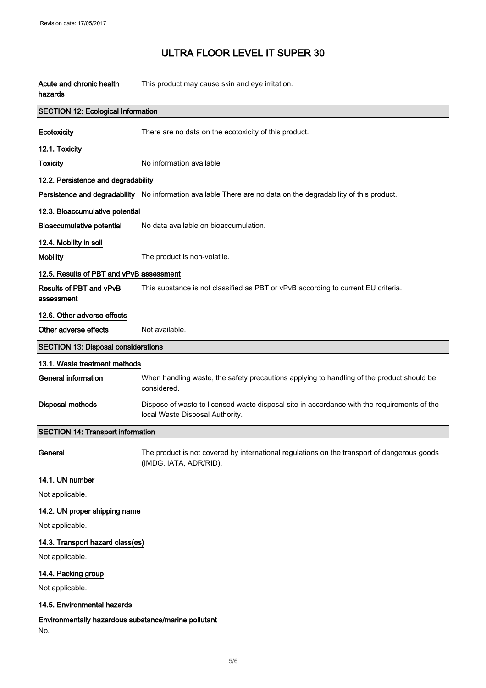| Acute and chronic health<br>hazards                         | This product may cause skin and eye irritation.                                                                                |  |
|-------------------------------------------------------------|--------------------------------------------------------------------------------------------------------------------------------|--|
| <b>SECTION 12: Ecological Information</b>                   |                                                                                                                                |  |
| Ecotoxicity                                                 | There are no data on the ecotoxicity of this product.                                                                          |  |
| 12.1. Toxicity                                              |                                                                                                                                |  |
| <b>Toxicity</b>                                             | No information available                                                                                                       |  |
| 12.2. Persistence and degradability                         |                                                                                                                                |  |
|                                                             | Persistence and degradability No information available There are no data on the degradability of this product.                 |  |
| 12.3. Bioaccumulative potential                             |                                                                                                                                |  |
| <b>Bioaccumulative potential</b>                            | No data available on bioaccumulation.                                                                                          |  |
| 12.4. Mobility in soil                                      |                                                                                                                                |  |
| <b>Mobility</b>                                             | The product is non-volatile.                                                                                                   |  |
| 12.5. Results of PBT and vPvB assessment                    |                                                                                                                                |  |
| Results of PBT and vPvB<br>assessment                       | This substance is not classified as PBT or vPvB according to current EU criteria.                                              |  |
| 12.6. Other adverse effects                                 |                                                                                                                                |  |
| Other adverse effects                                       | Not available.                                                                                                                 |  |
| <b>SECTION 13: Disposal considerations</b>                  |                                                                                                                                |  |
| 13.1. Waste treatment methods                               |                                                                                                                                |  |
| <b>General information</b>                                  | When handling waste, the safety precautions applying to handling of the product should be<br>considered.                       |  |
| <b>Disposal methods</b>                                     | Dispose of waste to licensed waste disposal site in accordance with the requirements of the<br>local Waste Disposal Authority. |  |
| <b>SECTION 14: Transport information</b>                    |                                                                                                                                |  |
| General                                                     | The product is not covered by international regulations on the transport of dangerous goods<br>(IMDG, IATA, ADR/RID).          |  |
| 14.1. UN number                                             |                                                                                                                                |  |
| Not applicable.                                             |                                                                                                                                |  |
| 14.2. UN proper shipping name                               |                                                                                                                                |  |
| Not applicable.                                             |                                                                                                                                |  |
| 14.3. Transport hazard class(es)                            |                                                                                                                                |  |
| Not applicable.                                             |                                                                                                                                |  |
| 14.4. Packing group                                         |                                                                                                                                |  |
| Not applicable.                                             |                                                                                                                                |  |
| 14.5. Environmental hazards                                 |                                                                                                                                |  |
| Environmentally hazardous substance/marine pollutant<br>No. |                                                                                                                                |  |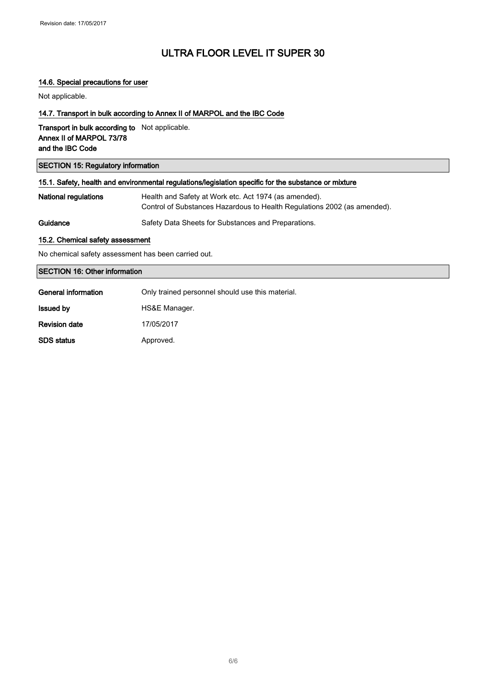#### 14.6. Special precautions for user

Not applicable.

#### 14.7. Transport in bulk according to Annex II of MARPOL and the IBC Code

Transport in bulk according to Not applicable. Annex II of MARPOL 73/78 and the IBC Code

#### SECTION 15: Regulatory information

| 15.1. Safety, health and environmental regulations/legislation specific for the substance or mixture |                                                                                                                                   |
|------------------------------------------------------------------------------------------------------|-----------------------------------------------------------------------------------------------------------------------------------|
| National regulations                                                                                 | Health and Safety at Work etc. Act 1974 (as amended).<br>Control of Substances Hazardous to Health Regulations 2002 (as amended). |
| Guidance                                                                                             | Safety Data Sheets for Substances and Preparations.                                                                               |

#### 15.2. Chemical safety assessment

No chemical safety assessment has been carried out.

#### SECTION 16: Other information

| General information  | Only trained personnel should use this material. |
|----------------------|--------------------------------------------------|
| <b>Issued by</b>     | HS&E Manager.                                    |
| <b>Revision date</b> | 17/05/2017                                       |
| <b>SDS</b> status    | Approved.                                        |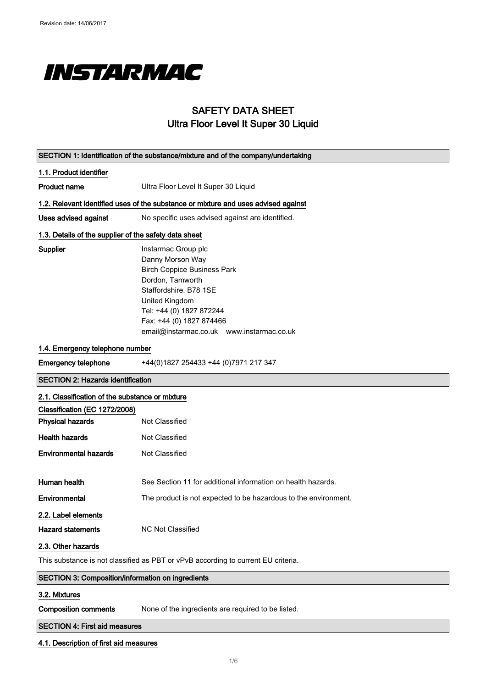

### SAFETY DATA SHEET Ultra Floor Level It Super 30 Liquid

|                                                                                   | SECTION 1: Identification of the substance/mixture and of the company/undertaking                                                                                                                                                                  |  |  |
|-----------------------------------------------------------------------------------|----------------------------------------------------------------------------------------------------------------------------------------------------------------------------------------------------------------------------------------------------|--|--|
| 1.1. Product identifier                                                           |                                                                                                                                                                                                                                                    |  |  |
| <b>Product name</b>                                                               | Ultra Floor Level It Super 30 Liquid                                                                                                                                                                                                               |  |  |
|                                                                                   | 1.2. Relevant identified uses of the substance or mixture and uses advised against                                                                                                                                                                 |  |  |
| <b>Uses advised against</b>                                                       | No specific uses advised against are identified.                                                                                                                                                                                                   |  |  |
|                                                                                   | 1.3. Details of the supplier of the safety data sheet                                                                                                                                                                                              |  |  |
| Supplier                                                                          | Instarmac Group plc<br>Danny Morson Way<br><b>Birch Coppice Business Park</b><br>Dordon, Tamworth<br>Staffordshire, B78 1SE<br>United Kingdom<br>Tel: +44 (0) 1827 872244<br>Fax: +44 (0) 1827 874466<br>email@instarmac.co.uk www.instarmac.co.uk |  |  |
| 1.4. Emergency telephone number                                                   |                                                                                                                                                                                                                                                    |  |  |
| <b>Emergency telephone</b>                                                        | +44(0)1827 254433 +44 (0)7971 217 347                                                                                                                                                                                                              |  |  |
| <b>SECTION 2: Hazards identification</b>                                          |                                                                                                                                                                                                                                                    |  |  |
| 2.1. Classification of the substance or mixture                                   |                                                                                                                                                                                                                                                    |  |  |
| Classification (EC 1272/2008)                                                     |                                                                                                                                                                                                                                                    |  |  |
| <b>Physical hazards</b>                                                           | Not Classified                                                                                                                                                                                                                                     |  |  |
| <b>Health hazards</b>                                                             | Not Classified                                                                                                                                                                                                                                     |  |  |
| <b>Environmental hazards</b>                                                      | Not Classified                                                                                                                                                                                                                                     |  |  |
| Human health                                                                      | See Section 11 for additional information on health hazards.                                                                                                                                                                                       |  |  |
| Environmental                                                                     | The product is not expected to be hazardous to the environment.                                                                                                                                                                                    |  |  |
| 2.2. Label elements<br><b>Hazard statements</b>                                   | NC Not Classified                                                                                                                                                                                                                                  |  |  |
| 2.3. Other hazards                                                                |                                                                                                                                                                                                                                                    |  |  |
| This substance is not classified as PBT or vPvB according to current EU criteria. |                                                                                                                                                                                                                                                    |  |  |
| SECTION 3: Composition/information on ingredients                                 |                                                                                                                                                                                                                                                    |  |  |
| 3.2. Mixtures                                                                     |                                                                                                                                                                                                                                                    |  |  |
| <b>Composition comments</b>                                                       | None of the ingredients are required to be listed.                                                                                                                                                                                                 |  |  |
| <b>SECTION 4: First aid measures</b>                                              |                                                                                                                                                                                                                                                    |  |  |

#### 4.1. Description of first aid measures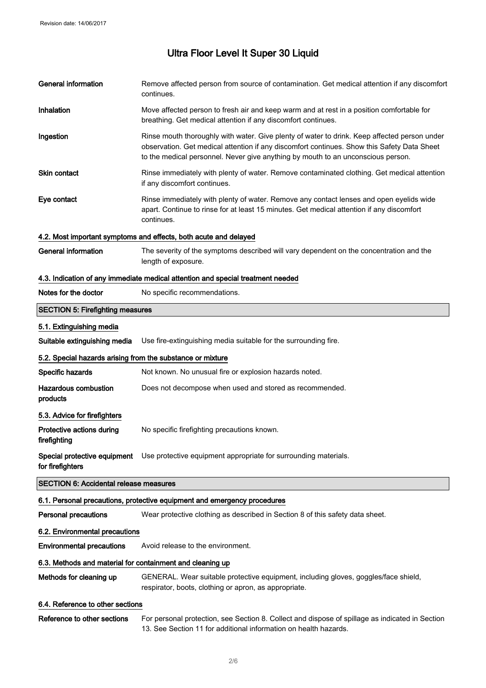| <b>General information</b>                                 | Remove affected person from source of contamination. Get medical attention if any discomfort<br>continues.                                                                                                                                                                      |
|------------------------------------------------------------|---------------------------------------------------------------------------------------------------------------------------------------------------------------------------------------------------------------------------------------------------------------------------------|
| Inhalation                                                 | Move affected person to fresh air and keep warm and at rest in a position comfortable for<br>breathing. Get medical attention if any discomfort continues.                                                                                                                      |
| Ingestion                                                  | Rinse mouth thoroughly with water. Give plenty of water to drink. Keep affected person under<br>observation. Get medical attention if any discomfort continues. Show this Safety Data Sheet<br>to the medical personnel. Never give anything by mouth to an unconscious person. |
| <b>Skin contact</b>                                        | Rinse immediately with plenty of water. Remove contaminated clothing. Get medical attention<br>if any discomfort continues.                                                                                                                                                     |
| Eye contact                                                | Rinse immediately with plenty of water. Remove any contact lenses and open eyelids wide<br>apart. Continue to rinse for at least 15 minutes. Get medical attention if any discomfort<br>continues.                                                                              |
|                                                            | 4.2. Most important symptoms and effects, both acute and delayed                                                                                                                                                                                                                |
| <b>General information</b>                                 | The severity of the symptoms described will vary dependent on the concentration and the<br>length of exposure.                                                                                                                                                                  |
|                                                            | 4.3. Indication of any immediate medical attention and special treatment needed                                                                                                                                                                                                 |
| Notes for the doctor                                       | No specific recommendations.                                                                                                                                                                                                                                                    |
| <b>SECTION 5: Firefighting measures</b>                    |                                                                                                                                                                                                                                                                                 |
| 5.1. Extinguishing media                                   |                                                                                                                                                                                                                                                                                 |
| Suitable extinguishing media                               | Use fire-extinguishing media suitable for the surrounding fire.                                                                                                                                                                                                                 |
| 5.2. Special hazards arising from the substance or mixture |                                                                                                                                                                                                                                                                                 |
| Specific hazards                                           | Not known. No unusual fire or explosion hazards noted.                                                                                                                                                                                                                          |
| <b>Hazardous combustion</b><br>products                    | Does not decompose when used and stored as recommended.                                                                                                                                                                                                                         |
| 5.3. Advice for firefighters                               |                                                                                                                                                                                                                                                                                 |
| Protective actions during<br>firefighting                  | No specific firefighting precautions known.                                                                                                                                                                                                                                     |
| for firefighters                                           | Special protective equipment Use protective equipment appropriate for surrounding materials.                                                                                                                                                                                    |
| <b>SECTION 6: Accidental release measures</b>              |                                                                                                                                                                                                                                                                                 |
|                                                            | 6.1. Personal precautions, protective equipment and emergency procedures                                                                                                                                                                                                        |
| <b>Personal precautions</b>                                | Wear protective clothing as described in Section 8 of this safety data sheet.                                                                                                                                                                                                   |
| 6.2. Environmental precautions                             |                                                                                                                                                                                                                                                                                 |
| <b>Environmental precautions</b>                           | Avoid release to the environment.                                                                                                                                                                                                                                               |
| 6.3. Methods and material for containment and cleaning up  |                                                                                                                                                                                                                                                                                 |
| Methods for cleaning up                                    | GENERAL. Wear suitable protective equipment, including gloves, goggles/face shield,<br>respirator, boots, clothing or apron, as appropriate.                                                                                                                                    |
| 6.4. Reference to other sections                           |                                                                                                                                                                                                                                                                                 |
| Reference to other sections                                | For personal protection, see Section 8. Collect and dispose of spillage as indicated in Section<br>13. See Section 11 for additional information on health hazards.                                                                                                             |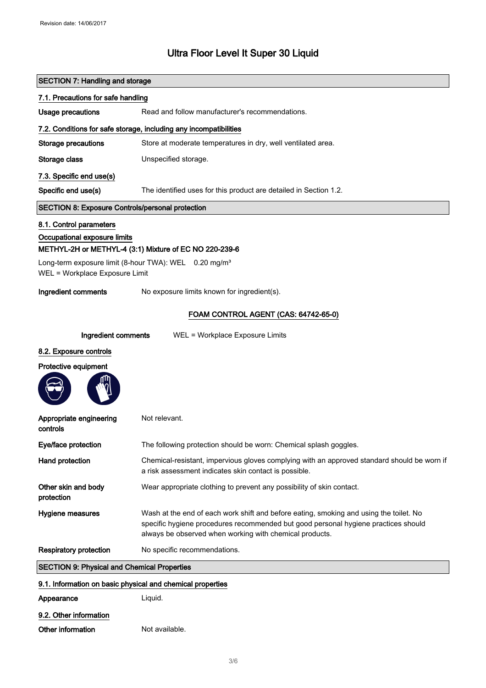| <b>SECTION 7: Handling and storage</b>                  |                                                                                                                                                                                                                                         |  |
|---------------------------------------------------------|-----------------------------------------------------------------------------------------------------------------------------------------------------------------------------------------------------------------------------------------|--|
| 7.1. Precautions for safe handling                      |                                                                                                                                                                                                                                         |  |
| <b>Usage precautions</b>                                | Read and follow manufacturer's recommendations.                                                                                                                                                                                         |  |
|                                                         | 7.2. Conditions for safe storage, including any incompatibilities                                                                                                                                                                       |  |
| <b>Storage precautions</b>                              | Store at moderate temperatures in dry, well ventilated area.                                                                                                                                                                            |  |
| Storage class                                           | Unspecified storage.                                                                                                                                                                                                                    |  |
| 7.3. Specific end use(s)                                |                                                                                                                                                                                                                                         |  |
| Specific end use(s)                                     | The identified uses for this product are detailed in Section 1.2.                                                                                                                                                                       |  |
| <b>SECTION 8: Exposure Controls/personal protection</b> |                                                                                                                                                                                                                                         |  |
| 8.1. Control parameters                                 |                                                                                                                                                                                                                                         |  |
| Occupational exposure limits                            |                                                                                                                                                                                                                                         |  |
|                                                         | METHYL-2H or METHYL-4 (3:1) Mixture of EC NO 220-239-6                                                                                                                                                                                  |  |
| WEL = Workplace Exposure Limit                          | Long-term exposure limit (8-hour TWA): WEL 0.20 mg/m <sup>3</sup>                                                                                                                                                                       |  |
| Ingredient comments                                     | No exposure limits known for ingredient(s).                                                                                                                                                                                             |  |
|                                                         | FOAM CONTROL AGENT (CAS: 64742-65-0)                                                                                                                                                                                                    |  |
| Ingredient comments                                     | WEL = Workplace Exposure Limits                                                                                                                                                                                                         |  |
| 8.2. Exposure controls                                  |                                                                                                                                                                                                                                         |  |
| Protective equipment                                    |                                                                                                                                                                                                                                         |  |
|                                                         |                                                                                                                                                                                                                                         |  |
| Appropriate engineering<br>controls                     | Not relevant.                                                                                                                                                                                                                           |  |
| Eye/face protection                                     | The following protection should be worn: Chemical splash goggles.                                                                                                                                                                       |  |
| Hand protection                                         | Chemical-resistant, impervious gloves complying with an approved standard should be worn if<br>a risk assessment indicates skin contact is possible.                                                                                    |  |
| Other skin and body<br>protection                       | Wear appropriate clothing to prevent any possibility of skin contact.                                                                                                                                                                   |  |
| Hygiene measures                                        | Wash at the end of each work shift and before eating, smoking and using the toilet. No<br>specific hygiene procedures recommended but good personal hygiene practices should<br>always be observed when working with chemical products. |  |
| <b>Respiratory protection</b>                           | No specific recommendations.                                                                                                                                                                                                            |  |
| <b>SECTION 9: Physical and Chemical Properties</b>      |                                                                                                                                                                                                                                         |  |
|                                                         | 9.1. Information on basic physical and chemical properties                                                                                                                                                                              |  |
| Appearance                                              | Liquid.                                                                                                                                                                                                                                 |  |
| 9.2. Other information                                  |                                                                                                                                                                                                                                         |  |
| Other information                                       | Not available.                                                                                                                                                                                                                          |  |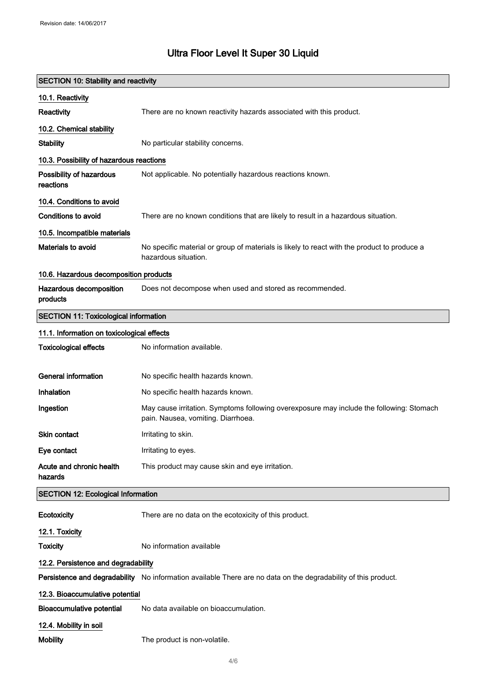### SECTION 10: Stability and reactivity

| 10.1. Reactivity                             |                                                                                                                                |
|----------------------------------------------|--------------------------------------------------------------------------------------------------------------------------------|
| <b>Reactivity</b>                            | There are no known reactivity hazards associated with this product.                                                            |
| 10.2. Chemical stability                     |                                                                                                                                |
| <b>Stability</b>                             | No particular stability concerns.                                                                                              |
| 10.3. Possibility of hazardous reactions     |                                                                                                                                |
| Possibility of hazardous<br>reactions        | Not applicable. No potentially hazardous reactions known.                                                                      |
| 10.4. Conditions to avoid                    |                                                                                                                                |
| <b>Conditions to avoid</b>                   | There are no known conditions that are likely to result in a hazardous situation.                                              |
| 10.5. Incompatible materials                 |                                                                                                                                |
| <b>Materials to avoid</b>                    | No specific material or group of materials is likely to react with the product to produce a<br>hazardous situation.            |
| 10.6. Hazardous decomposition products       |                                                                                                                                |
| Hazardous decomposition<br>products          | Does not decompose when used and stored as recommended.                                                                        |
| <b>SECTION 11: Toxicological information</b> |                                                                                                                                |
| 11.1. Information on toxicological effects   |                                                                                                                                |
| <b>Toxicological effects</b>                 | No information available.                                                                                                      |
| <b>General information</b>                   | No specific health hazards known.                                                                                              |
| Inhalation                                   | No specific health hazards known.                                                                                              |
| Ingestion                                    | May cause irritation. Symptoms following overexposure may include the following: Stomach<br>pain. Nausea, vomiting. Diarrhoea. |
| Skin contact                                 | Irritating to skin.                                                                                                            |
| Eye contact                                  | Irritating to eyes.                                                                                                            |
| Acute and chronic health<br>hazards          | This product may cause skin and eye irritation.                                                                                |
| <b>SECTION 12: Ecological Information</b>    |                                                                                                                                |
| Ecotoxicity                                  | There are no data on the ecotoxicity of this product.                                                                          |
| 12.1. Toxicity                               |                                                                                                                                |
| <b>Toxicity</b>                              | No information available                                                                                                       |
| 12.2. Persistence and degradability          |                                                                                                                                |
|                                              | Persistence and degradability No information available There are no data on the degradability of this product.                 |
| 12.3. Bioaccumulative potential              |                                                                                                                                |
| <b>Bioaccumulative potential</b>             | No data available on bioaccumulation.                                                                                          |
| 12.4. Mobility in soil                       |                                                                                                                                |
| <b>Mobility</b>                              | The product is non-volatile.                                                                                                   |
|                                              |                                                                                                                                |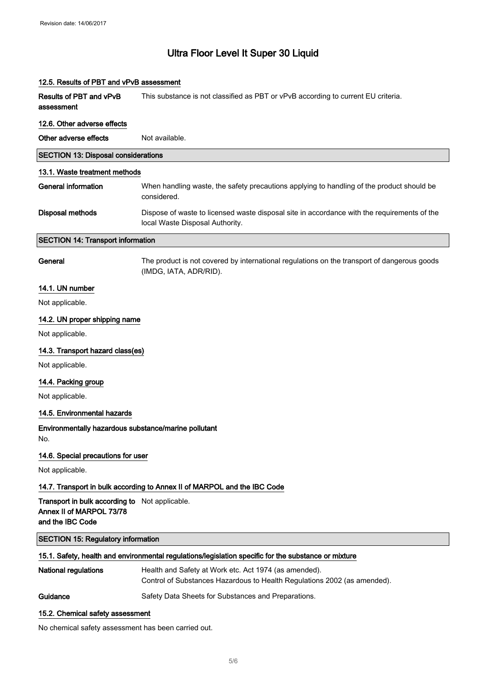| 12.5. Results of PBT and vPvB assessment                                                       |                                                                                                                                   |  |
|------------------------------------------------------------------------------------------------|-----------------------------------------------------------------------------------------------------------------------------------|--|
| Results of PBT and vPvB<br>assessment                                                          | This substance is not classified as PBT or vPvB according to current EU criteria.                                                 |  |
| 12.6. Other adverse effects                                                                    |                                                                                                                                   |  |
| Other adverse effects                                                                          | Not available.                                                                                                                    |  |
| <b>SECTION 13: Disposal considerations</b>                                                     |                                                                                                                                   |  |
| 13.1. Waste treatment methods                                                                  |                                                                                                                                   |  |
| General information                                                                            | When handling waste, the safety precautions applying to handling of the product should be<br>considered.                          |  |
| Disposal methods                                                                               | Dispose of waste to licensed waste disposal site in accordance with the requirements of the<br>local Waste Disposal Authority.    |  |
| <b>SECTION 14: Transport information</b>                                                       |                                                                                                                                   |  |
| General                                                                                        | The product is not covered by international regulations on the transport of dangerous goods<br>(IMDG, IATA, ADR/RID).             |  |
| 14.1. UN number                                                                                |                                                                                                                                   |  |
| Not applicable.                                                                                |                                                                                                                                   |  |
| 14.2. UN proper shipping name                                                                  |                                                                                                                                   |  |
| Not applicable.                                                                                |                                                                                                                                   |  |
| 14.3. Transport hazard class(es)                                                               |                                                                                                                                   |  |
| Not applicable.                                                                                |                                                                                                                                   |  |
| 14.4. Packing group                                                                            |                                                                                                                                   |  |
| Not applicable.                                                                                |                                                                                                                                   |  |
| 14.5. Environmental hazards                                                                    |                                                                                                                                   |  |
| Environmentally hazardous substance/marine pollutant<br>No.                                    |                                                                                                                                   |  |
| 14.6. Special precautions for user                                                             |                                                                                                                                   |  |
| Not applicable.                                                                                |                                                                                                                                   |  |
|                                                                                                | 14.7. Transport in bulk according to Annex II of MARPOL and the IBC Code                                                          |  |
| Transport in bulk according to Not applicable.<br>Annex II of MARPOL 73/78<br>and the IBC Code |                                                                                                                                   |  |
| <b>SECTION 15: Regulatory information</b>                                                      |                                                                                                                                   |  |
|                                                                                                | 15.1. Safety, health and environmental regulations/legislation specific for the substance or mixture                              |  |
| National regulations                                                                           | Health and Safety at Work etc. Act 1974 (as amended).<br>Control of Substances Hazardous to Health Regulations 2002 (as amended). |  |
| Guidance                                                                                       | Safety Data Sheets for Substances and Preparations.                                                                               |  |
|                                                                                                |                                                                                                                                   |  |

#### 15.2. Chemical safety assessment

No chemical safety assessment has been carried out.